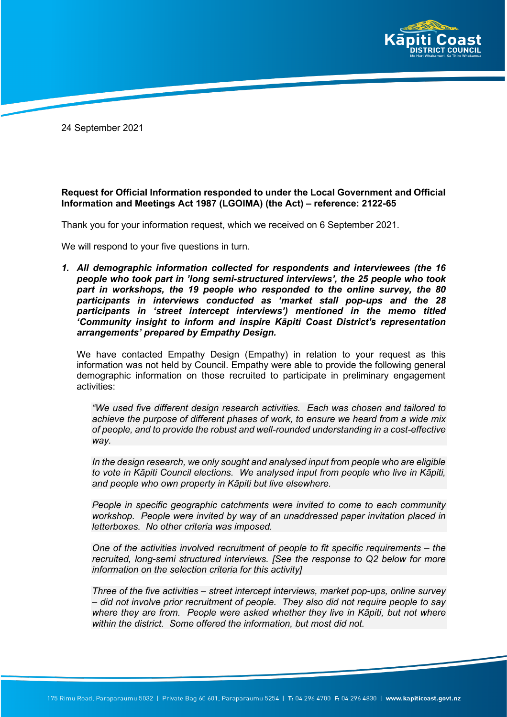

24 September 2021

## **Request for Official Information responded to under the Local Government and Official Information and Meetings Act 1987 (LGOIMA) (the Act) – reference: 2122-65**

Thank you for your information request, which we received on 6 September 2021.

We will respond to your five questions in turn.

*1. All demographic information collected for respondents and interviewees (the 16 people who took part in 'long semi-structured interviews', the 25 people who took part in workshops, the 19 people who responded to the online survey, the 80 participants in interviews conducted as 'market stall pop-ups and the 28 participants in 'street intercept interviews') mentioned in the memo titled 'Community insight to inform and inspire Kāpiti Coast District's representation arrangements' prepared by Empathy Design.* 

We have contacted Empathy Design (Empathy) in relation to your request as this information was not held by Council. Empathy were able to provide the following general demographic information on those recruited to participate in preliminary engagement activities:

*"We used five different design research activities. Each was chosen and tailored to achieve the purpose of different phases of work, to ensure we heard from a wide mix of people, and to provide the robust and well-rounded understanding in a cost-effective way.*

*In the design research, we only sought and analysed input from people who are eligible to vote in Kāpiti Council elections. We analysed input from people who live in Kāpiti, and people who own property in Kāpiti but live elsewhere.*

*People in specific geographic catchments were invited to come to each community workshop. People were invited by way of an unaddressed paper invitation placed in letterboxes. No other criteria was imposed.* 

*One of the activities involved recruitment of people to fit specific requirements – the recruited, long-semi structured interviews. [See the response to Q2 below for more information on the selection criteria for this activity]* 

*Three of the five activities – street intercept interviews, market pop-ups, online survey – did not involve prior recruitment of people. They also did not require people to say where they are from. People were asked whether they live in Kāpiti, but not where within the district. Some offered the information, but most did not.*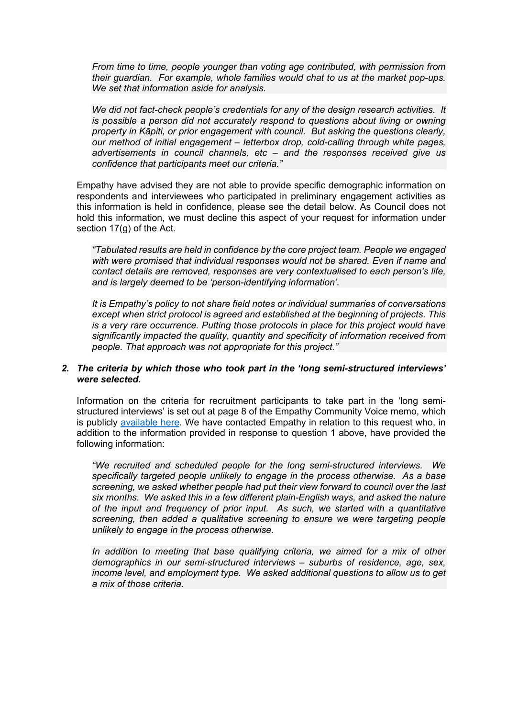*From time to time, people younger than voting age contributed, with permission from their guardian. For example, whole families would chat to us at the market pop-ups. We set that information aside for analysis.*

*We did not fact-check people's credentials for any of the design research activities. It is possible a person did not accurately respond to questions about living or owning property in Kāpiti, or prior engagement with council. But asking the questions clearly, our method of initial engagement – letterbox drop, cold-calling through white pages, advertisements in council channels, etc – and the responses received give us confidence that participants meet our criteria."*

Empathy have advised they are not able to provide specific demographic information on respondents and interviewees who participated in preliminary engagement activities as this information is held in confidence, please see the detail below. As Council does not hold this information, we must decline this aspect of your request for information under section 17(g) of the Act.

*"Tabulated results are held in confidence by the core project team. People we engaged with were promised that individual responses would not be shared. Even if name and contact details are removed, responses are very contextualised to each person's life, and is largely deemed to be 'person-identifying information'.*

*It is Empathy's policy to not share field notes or individual summaries of conversations except when strict protocol is agreed and established at the beginning of projects. This is a very rare occurrence. Putting those protocols in place for this project would have significantly impacted the quality, quantity and specificity of information received from people. That approach was not appropriate for this project."*

## *2. The criteria by which those who took part in the 'long semi-structured interviews' were selected.*

Information on the criteria for recruitment participants to take part in the 'long semistructured interviews' is set out at page 8 of the Empathy Community Voice memo, which is publicly [available here.](https://www.kapiticoast.govt.nz/media/40208/community-voice-for-representation-review-2021.pdf) We have contacted Empathy in relation to this request who, in addition to the information provided in response to question 1 above, have provided the following information:

*"We recruited and scheduled people for the long semi-structured interviews. We specifically targeted people unlikely to engage in the process otherwise. As a base screening, we asked whether people had put their view forward to council over the last six months. We asked this in a few different plain-English ways, and asked the nature of the input and frequency of prior input. As such, we started with a quantitative screening, then added a qualitative screening to ensure we were targeting people unlikely to engage in the process otherwise.*

*In addition to meeting that base qualifying criteria, we aimed for a mix of other demographics in our semi-structured interviews – suburbs of residence, age, sex, income level, and employment type. We asked additional questions to allow us to get a mix of those criteria.*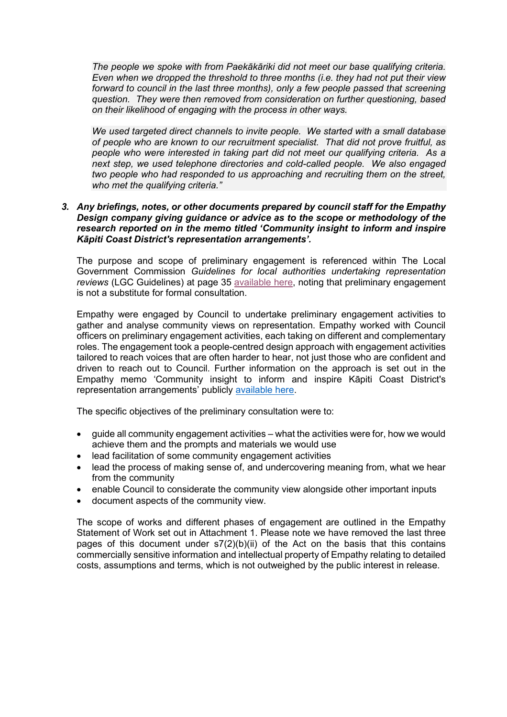*The people we spoke with from Paekākāriki did not meet our base qualifying criteria. Even when we dropped the threshold to three months (i.e. they had not put their view forward to council in the last three months), only a few people passed that screening question. They were then removed from consideration on further questioning, based on their likelihood of engaging with the process in other ways.*

*We used targeted direct channels to invite people. We started with a small database of people who are known to our recruitment specialist. That did not prove fruitful, as people who were interested in taking part did not meet our qualifying criteria. As a next step, we used telephone directories and cold-called people. We also engaged two people who had responded to us approaching and recruiting them on the street, who met the qualifying criteria."*

## *3. Any briefings, notes, or other documents prepared by council staff for the Empathy Design company giving guidance or advice as to the scope or methodology of the research reported on in the memo titled 'Community insight to inform and inspire Kāpiti Coast District's representation arrangements'.*

The purpose and scope of preliminary engagement is referenced within The Local Government Commission *Guidelines for local authorities undertaking representation reviews* (LGC Guidelines) at page 35 [available here,](http://www.lgc.govt.nz/assets/Uploads/Representation-Review-Guidelines-2021.pdf) noting that preliminary engagement is not a substitute for formal consultation.

Empathy were engaged by Council to undertake preliminary engagement activities to gather and analyse community views on representation. Empathy worked with Council officers on preliminary engagement activities, each taking on different and complementary roles. The engagement took a people-centred design approach with engagement activities tailored to reach voices that are often harder to hear, not just those who are confident and driven to reach out to Council. Further information on the approach is set out in the Empathy memo 'Community insight to inform and inspire Kāpiti Coast District's representation arrangements' publicly [available here.](https://www.kapiticoast.govt.nz/media/40208/community-voice-for-representation-review-2021.pdf)

The specific objectives of the preliminary consultation were to:

- guide all community engagement activities what the activities were for, how we would achieve them and the prompts and materials we would use
- lead facilitation of some community engagement activities
- lead the process of making sense of, and undercovering meaning from, what we hear from the community
- enable Council to considerate the community view alongside other important inputs
- document aspects of the community view.

The scope of works and different phases of engagement are outlined in the Empathy Statement of Work set out in Attachment 1. Please note we have removed the last three pages of this document under s7(2)(b)(ii) of the Act on the basis that this contains commercially sensitive information and intellectual property of Empathy relating to detailed costs, assumptions and terms, which is not outweighed by the public interest in release.